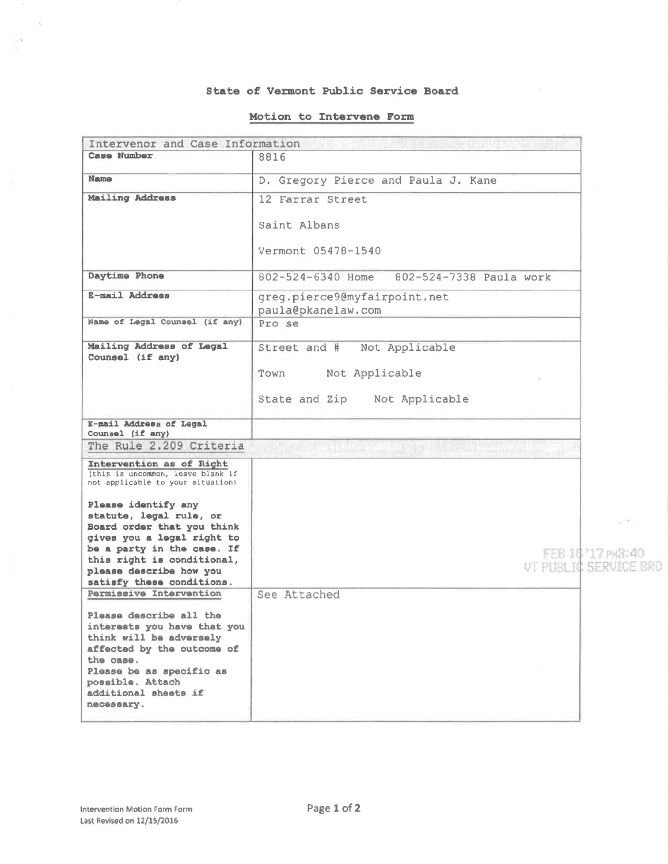#### State of Vermont Public Service Board

### Motion to Intervene Form

| Intervenor and Case Information                                                                                                                                                                      |                                                    |                                            |
|------------------------------------------------------------------------------------------------------------------------------------------------------------------------------------------------------|----------------------------------------------------|--------------------------------------------|
| Case Number                                                                                                                                                                                          | 8816                                               |                                            |
| <b>Name</b>                                                                                                                                                                                          | D. Gregory Pierce and Paula J. Kane                |                                            |
| <b>Mailing Address</b>                                                                                                                                                                               | 12 Farrar Street                                   |                                            |
|                                                                                                                                                                                                      | Saint Albans                                       |                                            |
|                                                                                                                                                                                                      | Vermont 05478-1540                                 |                                            |
| Daytime Phone                                                                                                                                                                                        | 802-524-6340 Home<br>802-524-7338 Paula work       |                                            |
| E-mail Address                                                                                                                                                                                       | greg.pierce9@myfairpoint.net<br>paula@pkanelaw.com |                                            |
| Name of Legal Counsel (if any)                                                                                                                                                                       | Pro se                                             |                                            |
| Mailing Address of Legal<br>Counsel (if any)                                                                                                                                                         | Street and #<br>Not Applicable                     |                                            |
|                                                                                                                                                                                                      | Not Applicable<br>Town                             |                                            |
|                                                                                                                                                                                                      | State and Zip Not Applicable                       |                                            |
| E-mail Address of Legal<br>Counsel (if any)                                                                                                                                                          |                                                    |                                            |
| The Rule 2.209 Criteria                                                                                                                                                                              |                                                    |                                            |
| Intervention as of Right<br>(this is uncommon, leave blank if<br>not applicable to your situation)                                                                                                   |                                                    |                                            |
| Please identify any<br>statute, legal rule, or<br>Board order that you think                                                                                                                         |                                                    | $-131$                                     |
| gives you a legal right to<br>be a party in the case. If<br>this right is conditional,<br>please describe how you<br>satisfy these conditions.                                                       |                                                    | FEB 16 17 PM3:40<br>UT PHRILTO SERVICE BRD |
| Permissive Intervention                                                                                                                                                                              | See Attached                                       |                                            |
| Please describe all the<br>interests you have that you<br>think will be adversely<br>affected by the outcome of<br>the case.<br>Please be as specific as<br>possible. Attach<br>additional sheets if |                                                    |                                            |
| necessary.                                                                                                                                                                                           |                                                    |                                            |

 $\lambda$ 

 $\sim$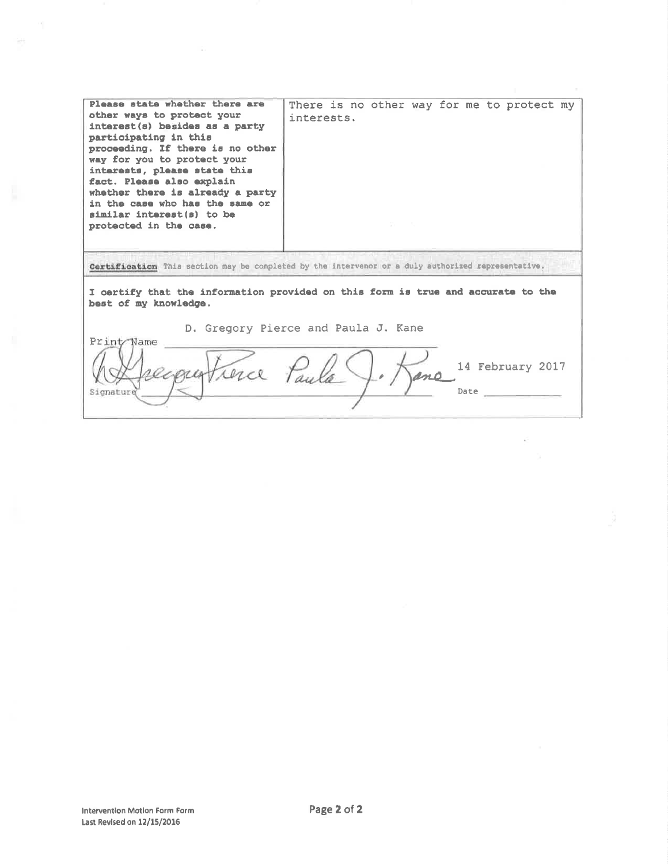| Please state whether there are<br>other ways to protect your<br>interest(s) besides as a party<br>participating in this<br>proceeding. If there is no other<br>way for you to protect your<br>interests, please state this<br>fact. Please also explain<br>whether there is already a party<br>in the case who has the same or<br>similar interest(s) to be<br>protected in the case. | There is no other way for me to protect my<br>interests. |  |  |
|---------------------------------------------------------------------------------------------------------------------------------------------------------------------------------------------------------------------------------------------------------------------------------------------------------------------------------------------------------------------------------------|----------------------------------------------------------|--|--|
| Certification This section may be completed by the intervenor or a duly authorized representative.                                                                                                                                                                                                                                                                                    |                                                          |  |  |
| I certify that the information provided on this form is true and accurate to the<br>best of my knowledge.<br>D. Gregory Pierce and Paula J. Kane<br>Print Name<br>14 February 2017                                                                                                                                                                                                    |                                                          |  |  |
| Signature                                                                                                                                                                                                                                                                                                                                                                             | Date                                                     |  |  |

 $\overline{\mathbb{R}^2}$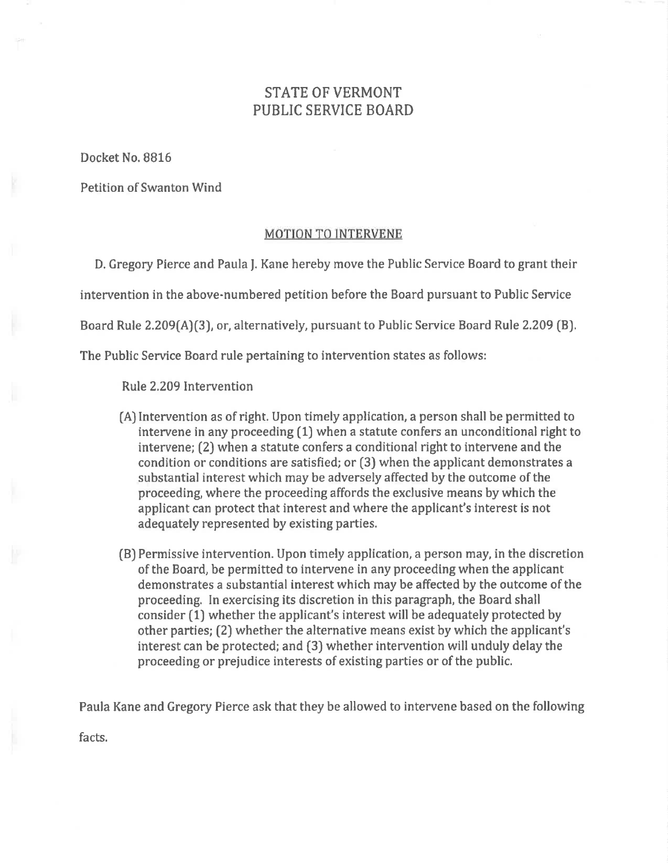# STATE OF VERMONT PUBLIC SERVICE BOARD

Docket No. 8816

Petition of Swanton Wind

## MOTION TO INTERVENE

D. Gregory Pierce and Paula J. Kane hereby move the Public Service Board to grant their intervention in the above-numbered petition before the Board pursuant to Public Service Board Rule 2.209(A)(3), or, alternatively, pursuant to Public Service Board Rule 2.209 (B).

The Public Service Board rule pertaining to intervention states as follows:

Rule 2.209 Intervention

- (A) Intervention as of right. Upon timely application, a person shall be permitted to intervene in any proceeding (1) when a statute confers an unconditional right to intervene; (2) when a statute confers a conditional right to intervene and the condition or conditions are satisfied; or (3) when the applicant demonstrates a substantial interest which may be adversely affected by the outcome of the proceeding, where the proceeding affords the exclusive means by which the applicant can protect that interest and where the applicant's interest is not adequately represented by existing parties.
- (B) Permissive intervention. Upon timely application, a person may, in the discretion of the Board, be permitted to intervene in any proceeding when the applicant demonstrates a substantíal interest which may be affected by the outcome of the proceeding. In exercising its discretion in this paragraph, the Board shall consider [lJ whether the applicant's interest will be adequately protected by other parties; [2) whether the alternative means exist by which the applicant's interest can be protected; and [3J whether intervention will unduly delay the proceeding or prejudice interests of existing parties or of the public.

Paula Kane and Gregory Pierce ask that they be allowed to intervene based on the following

facts.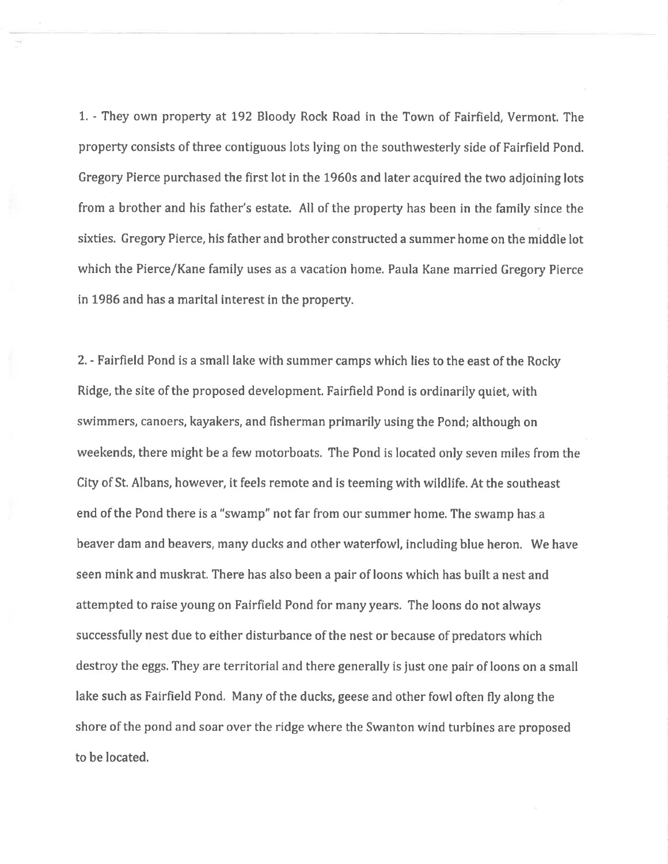1. - They own property at 192 Bloody Rock Road in the Town of Fairfield, Vermont. The property consists of three contiguous lots lying on the southwesterly side of Fairfield Pond. Gregory Pierce purchased the first lot in the 1960s and later acquired the two adjoining lots from a brother and his father's estate. All of the property has been in the family since the sixties. Gregory Pierce, his father and brother constructed a summer home on the middle lot which the Pierce/Kane family uses as a vacation home. Paula Kane married Gregory Pierce in 1986 and has a marital interest in the property.

2. - Fairfield Pond is a small lake with summer camps which lies to the east of the Rocky Ridge, the site of the proposed development. Fairfield Pond is ordinarily quiet, with swimmers, canoers, kayakers, and fisherman primarily using the Pond; although on weekends, there might be a few motorboats. The Pond is located only seven miles from the CÍty of St. Albans, however, it feels remote and is teeming with wildlife, At the southeast end of the Pond there is a "swamp" not far from our summer home, The swamp has.a beaver dam and beavers, many ducks and other waterfowl, including blue heron. We have seen mink and muskrat. There has also been a pair of loons which has built a nest and attempted to raise young on Fairfield Pond for many years. The loons do not always successfully nest due to either disturbance of the nest or because of predators which destroy the eggs. They are territorial and there generally is just one pair of loons on a small lake such as Fairfield Pond. Many of the ducks, geese and other fowl often fly along the shore of the pond and soar over the ridge where the Swanton wind turbines are proposed to be located.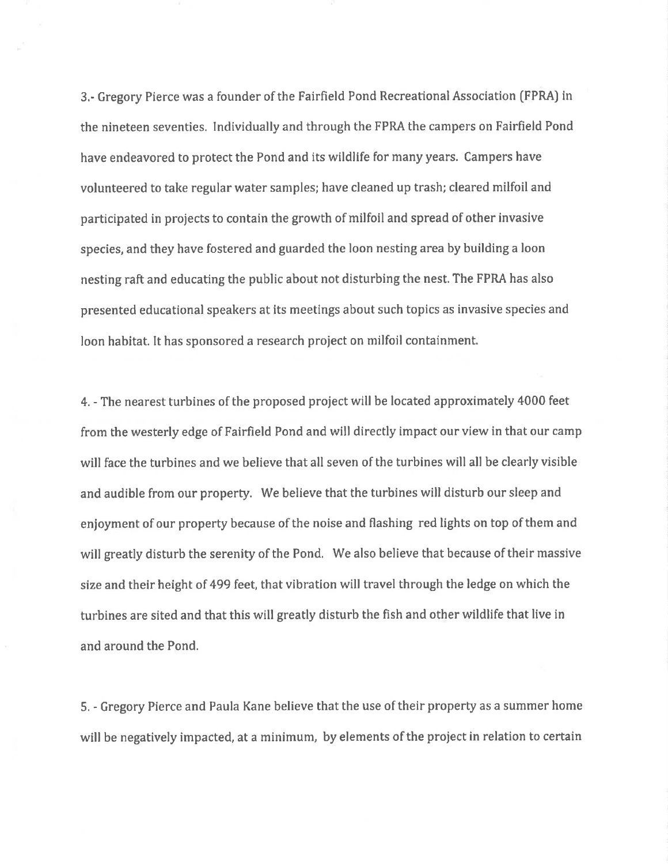3.- Gregory Pierce was a founder of the Fairfield Pond Recreational Association (FPRA) in the nineteen seventies. Individually and through the FPRA the campers on Fairfield Pond have endeavored to protect the Pond and its wildlife for many years. Campers have volunteered to take regular water samples; have cleaned up trash; cleared milfoil and participated in projects to contain the growth of milfoil and spread of other invasive species, and they have fostered and guarded the loon nesting area by building a loon nesting raft and educating the public about not disturbing the nest. The FPRA has also presented educational speakers at its meetings about such topics as invasive species and loon habitat. It has sponsored a research project on milfoil containment.

4. - The nearest turbínes of the proposed project will be located approximately 4000 feet from the westerly edge of Fairfìeld Pond and will directly impact our view in that our camp will face the turbines and we believe that all seven of the turbines will all be clearly visible and audible from our property. We believe that the turbines will disturb our sleep and enjoyment of our property because of the noise and flashing red lights on top of them and will greatly disturb the serenity of the Pond. We also believe that because of their massive size and their height of 499 feet, that vibration will travel through the ledge on which the turbines are sited and that this will greatly disturb the fish and other wildlife that live in and around the Pond.

5. - Gregory Pierce and Paula Kane believe that the use of their property as a summer home will be negatively impacted, at a minimum, by elements of the project in relation to certain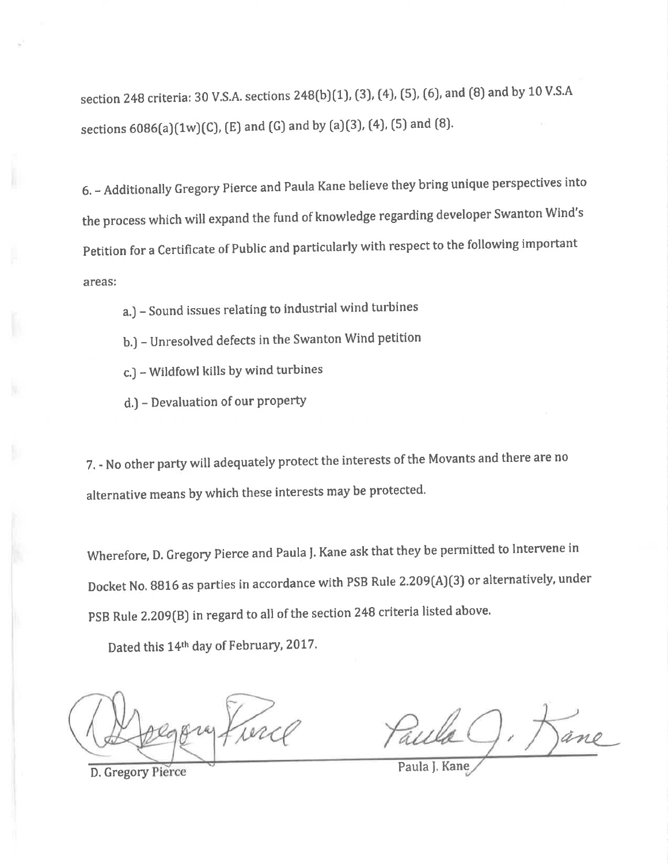section 248 criteria: 30 V.S.A. sections 248(b)(1), (3), (4), (5), (6), and (8) and by 10 V.S.A sections  $6086(a)(1w)(C)$ , (E) and (G) and by (a)(3), (4), (5) and (8).

6. - Additionally Gregory pierce and Paula Kane believe they bring unique perspectives into the process which will expand the fund of knowledge regarding developer Swanton Wind's petition for a certificate of public and particularly with respect to the following important areas:

- a.) Sound issues relating to industrial wind turbines
- b.) Unresolved defects in the Swanton Wind petition
- c.J Wildfowl kills by wind turbines
- d.) Devaluation of our property

7. - No other party will adequately protect the interests of the Movants and there are no alternative means by which these interests may be protected.

Wherefore, D. Gregory Pierce and Paula J. Kane ask that they be permitted to Intervene in Docket No. 8816 as parties in accordance with PSB Rule 2.209(A)(3) or alternatively, under PSB Rule 2.209(B) in regard to all of the section 248 criteria listed above.

Dated this 14<sup>th</sup> day of February, 2017.

D. Gregory Pierce Paula J. Kane

ane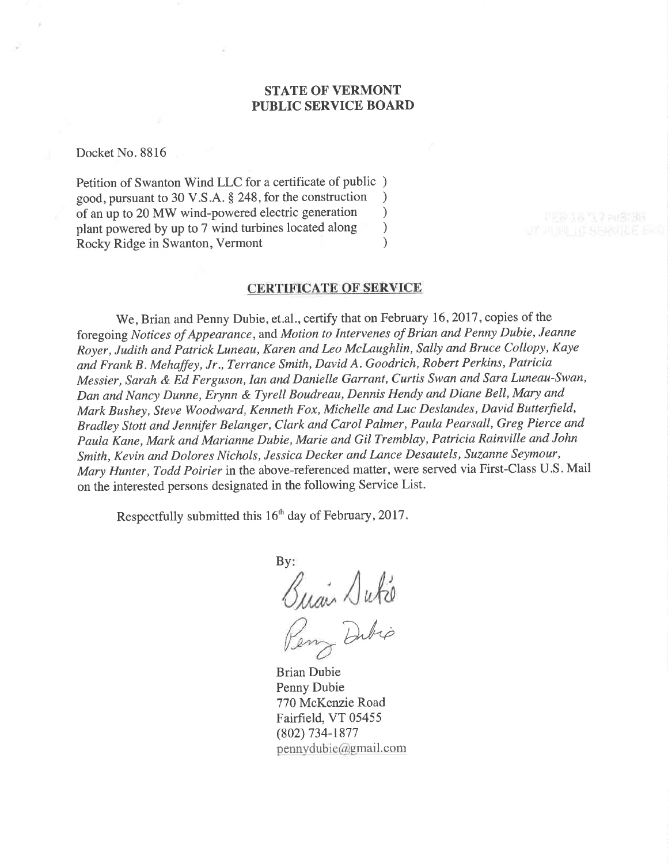# STATE OF VERMONT PUBLIC SERVICE BOARD

Docket No. 8816

Petition of Swanton Wind LLC for a certificate of public ) good, pursuant to 30 V.S.A. § 248, for the construction <br>of an up to 20 MW wind-powered electric generation  $\qquad$ of an up to 20 MW wind-powered electric generation <br>plant powered by up to 7 wind turbines located along  $\qquad$ plant powered by up to 7 wind turbines located along <br>Rocky Ridge in Swanton Vermont (a) Rocky Ridge in Swanton, Vermont

### CERTIFICATE OF SERVICE

We, Brian and Penny Dubie, et.al., certify that on February 16, 2017, copies of the foregoing Notices of Appearance, and Motion to Intervenes of Brian and Penny Dubie, Jeanne Royer, Judith and Patrick Luneau, Karen and Leo Mclaughlin, Sally and Bruce Collopy, Kaye and Frank B. Mehaffey, Jr., Terrence Smith, David A. Goodrich, Robert Perkins, Patricia Messier, Sarah & Ed Ferguson, Ian and Danielle Garrant, Curtis Swan and Sara Luneau-Swan, Dan and Nancy Dunne, Erynn & Tyrell Boudreau, Dennis Hendy and Diane Bell, Mary and Mark Bushey, Steve Woodward, Kenneth Fox, Michelle and Luc Deslandes, David Butterfield, Bradley Stott and Jenniþr Belanger, Clark and Carol Palmer, Paula Pearsall, Greg Pierce and Paula Kane, Mark and Marianne Dubie, Marie and GiITremblay, Patricia Rainville and John Smith, Kevin and Dolores Nichols, Jessica Decker and Lance Desautels, Suzanne Seymour, Mary Hunter, Todd Poirier in the above-referenced matter, were served via First-Class U.S. Mail on the interested persons designated in the following Service List.

Respectfully submitted this 16<sup>th</sup> day of February, 2017.

 $Bv$ : Quan Dute

Dibio

Brian Dubie Penny Dubie 770 McKenzie Road Fairfield, VT 05455 (802) 734-1877  $p$ ennydubie@gmail.com